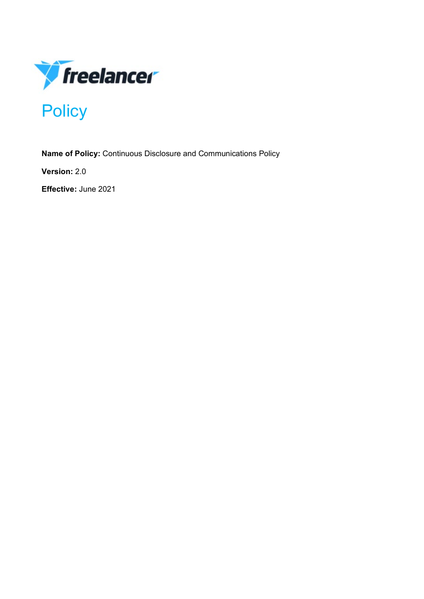

**Name of Policy:** Continuous Disclosure and Communications Policy

**Version:** 2.0

**Effective:** June 2021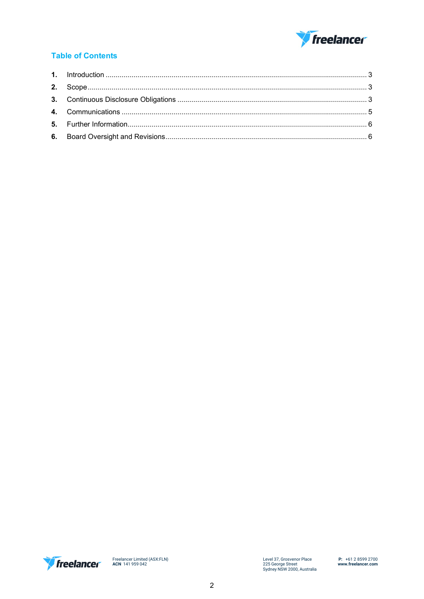

# **Table of Contents**

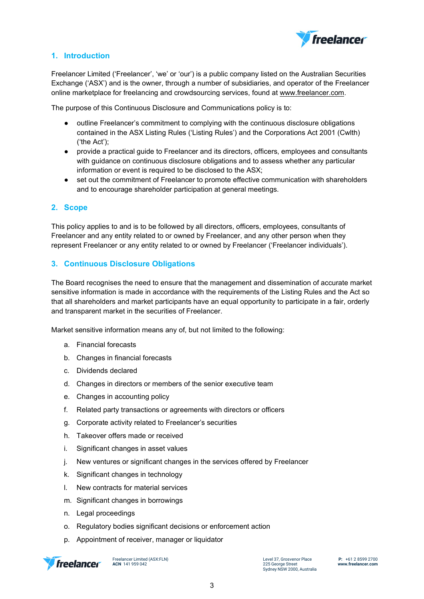

# <span id="page-2-0"></span>**1. Introduction**

Freelancer Limited ('Freelancer', 'we' or 'our') is a public company listed on the Australian Securities Exchange ('ASX') and is the owner, through a number of subsidiaries, and operator of the Freelancer online marketplace for freelancing and crowdsourcing services, found a[t www.freelancer.com.](http://www.freelancer.com/)

The purpose of this Continuous Disclosure and Communications policy is to:

- outline Freelancer's commitment to complying with the continuous disclosure obligations contained in the ASX Listing Rules ('Listing Rules') and the Corporations Act 2001 (Cwlth) ('the Act');
- provide a practical guide to Freelancer and its directors, officers, employees and consultants with guidance on continuous disclosure obligations and to assess whether any particular information or event is required to be disclosed to the ASX;
- set out the commitment of Freelancer to promote effective communication with shareholders and to encourage shareholder participation at general meetings.

# <span id="page-2-1"></span>**2. Scope**

This policy applies to and is to be followed by all directors, officers, employees, consultants of Freelancer and any entity related to or owned by Freelancer, and any other person when they represent Freelancer or any entity related to or owned by Freelancer ('Freelancer individuals').

# <span id="page-2-2"></span>**3. Continuous Disclosure Obligations**

The Board recognises the need to ensure that the management and dissemination of accurate market sensitive information is made in accordance with the requirements of the Listing Rules and the Act so that all shareholders and market participants have an equal opportunity to participate in a fair, orderly and transparent market in the securities of Freelancer.

Market sensitive information means any of, but not limited to the following:

- a. Financial forecasts
- b. Changes in financial forecasts
- c. Dividends declared
- d. Changes in directors or members of the senior executive team
- e. Changes in accounting policy
- f. Related party transactions or agreements with directors or officers
- g. Corporate activity related to Freelancer's securities
- h. Takeover offers made or received
- i. Significant changes in asset values
- j. New ventures or significant changes in the services offered by Freelancer
- k. Significant changes in technology
- l. New contracts for material services
- m. Significant changes in borrowings
- n. Legal proceedings
- o. Regulatory bodies significant decisions or enforcement action
- p. Appointment of receiver, manager or liquidator



Freelancer Limited (ASX:FLN) **ACN** 141 959 042

Level 37, Grosvenor Place 225 George Street Sydney NSW 2000, Australia **P:** +61 2 8599 2700 **www.freelancer.com**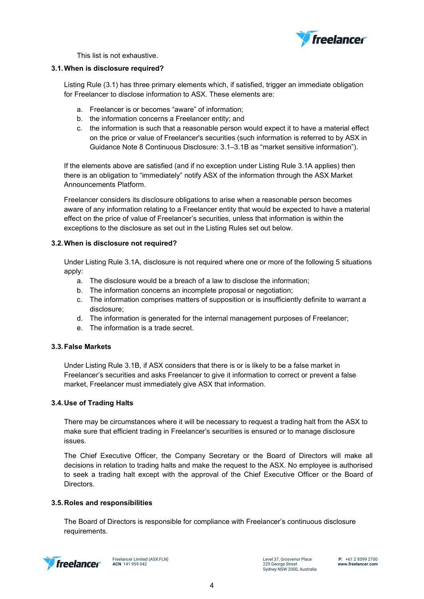

This list is not exhaustive.

# **3.1.When is disclosure required?**

Listing Rule (3.1) has three primary elements which, if satisfied, trigger an immediate obligation for Freelancer to disclose information to ASX. These elements are:

- a. Freelancer is or becomes "aware" of information;
- b. the information concerns a Freelancer entity; and
- c. the information is such that a reasonable person would expect it to have a material effect on the price or value of Freelancer's securities (such information is referred to by ASX in Guidance Note 8 Continuous Disclosure: 3.1–3.1B as "market sensitive information").

If the elements above are satisfied (and if no exception under Listing Rule 3.1A applies) then there is an obligation to "immediately" notify ASX of the information through the ASX Market Announcements Platform.

Freelancer considers its disclosure obligations to arise when a reasonable person becomes aware of any information relating to a Freelancer entity that would be expected to have a material effect on the price of value of Freelancer's securities, unless that information is within the exceptions to the disclosure as set out in the Listing Rules set out below.

# **3.2.When is disclosure not required?**

Under Listing Rule 3.1A, disclosure is not required where one or more of the following 5 situations apply:

- a. The disclosure would be a breach of a law to disclose the information;
- b. The information concerns an incomplete proposal or negotiation;
- c. The information comprises matters of supposition or is insufficiently definite to warrant a disclosure;
- d. The information is generated for the internal management purposes of Freelancer;
- e. The information is a trade secret.

#### **3.3.False Markets**

Under Listing Rule 3.1B, if ASX considers that there is or is likely to be a false market in Freelancer's securities and asks Freelancer to give it information to correct or prevent a false market, Freelancer must immediately give ASX that information.

#### **3.4.Use of Trading Halts**

There may be circumstances where it will be necessary to request a trading halt from the ASX to make sure that efficient trading in Freelancer's securities is ensured or to manage disclosure issues.

The Chief Executive Officer, the Company Secretary or the Board of Directors will make all decisions in relation to trading halts and make the request to the ASX. No employee is authorised to seek a trading halt except with the approval of the Chief Executive Officer or the Board of Directors.

# **3.5.Roles and responsibilities**

The Board of Directors is responsible for compliance with Freelancer's continuous disclosure requirements.



Freelancer Limited (ASX:FLN) **ACN** 141 959 042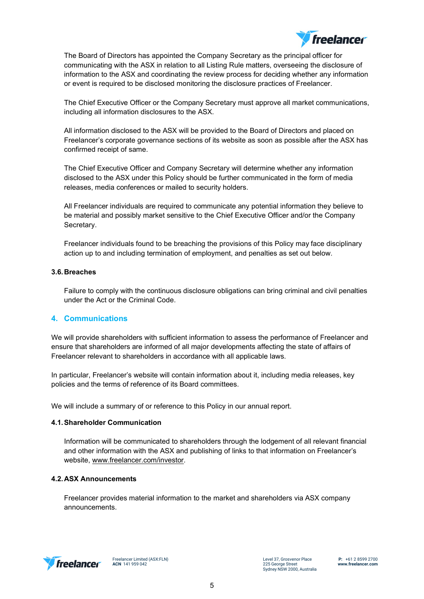

The Board of Directors has appointed the Company Secretary as the principal officer for communicating with the ASX in relation to all Listing Rule matters, overseeing the disclosure of information to the ASX and coordinating the review process for deciding whether any information or event is required to be disclosed monitoring the disclosure practices of Freelancer.

The Chief Executive Officer or the Company Secretary must approve all market communications, including all information disclosures to the ASX.

All information disclosed to the ASX will be provided to the Board of Directors and placed on Freelancer's corporate governance sections of its website as soon as possible after the ASX has confirmed receipt of same.

The Chief Executive Officer and Company Secretary will determine whether any information disclosed to the ASX under this Policy should be further communicated in the form of media releases, media conferences or mailed to security holders.

All Freelancer individuals are required to communicate any potential information they believe to be material and possibly market sensitive to the Chief Executive Officer and/or the Company Secretary.

Freelancer individuals found to be breaching the provisions of this Policy may face disciplinary action up to and including termination of employment, and penalties as set out below.

## **3.6.Breaches**

Failure to comply with the continuous disclosure obligations can bring criminal and civil penalties under the Act or the Criminal Code.

# <span id="page-4-0"></span>**4. Communications**

We will provide shareholders with sufficient information to assess the performance of Freelancer and ensure that shareholders are informed of all major developments affecting the state of affairs of Freelancer relevant to shareholders in accordance with all applicable laws.

In particular, Freelancer's website will contain information about it, including media releases, key policies and the terms of reference of its Board committees.

We will include a summary of or reference to this Policy in our annual report.

#### **4.1.Shareholder Communication**

Information will be communicated to shareholders through the lodgement of all relevant financial and other information with the ASX and publishing of links to that information on Freelancer's website, [www.freelancer.com/investor.](http://www.freelancer.com/investor)

#### **4.2.ASX Announcements**

Freelancer provides material information to the market and shareholders via ASX company announcements.



Freelancer Limited (ASX:FLN) **ACN** 141 959 042